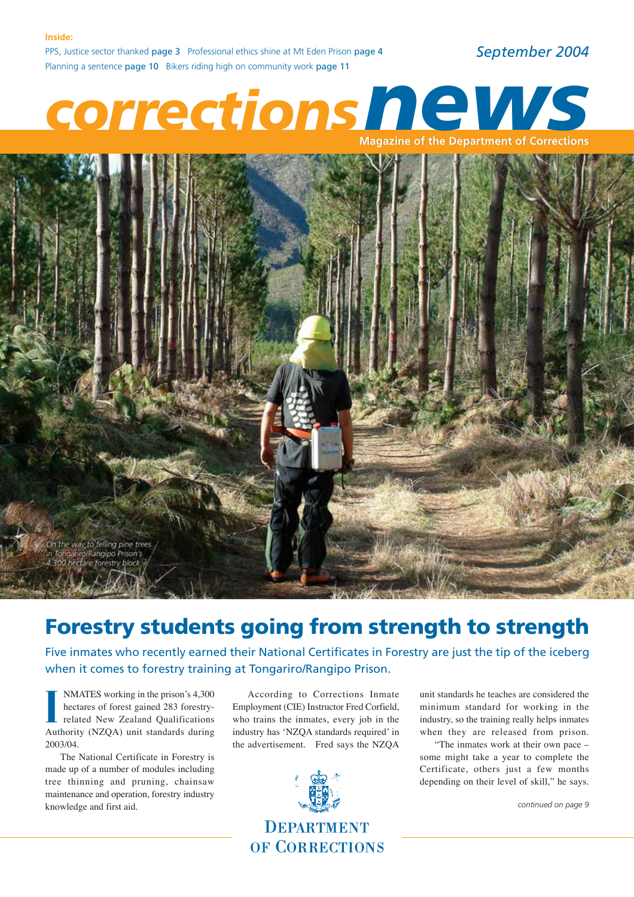PPS, Justice sector thanked page 3 Professional ethics shine at Mt Eden Prison page 4 Planning a sentence page 10 Bikers riding high on community work page 11

*September 2004*

# Planning a sentence page 10 Bikers riding high on community work page 11<br> **CORRECTIONS Magazine of the Department of Corrections**



### **Forestry students going from strength to strength**

Five inmates who recently earned their National Certificates in Forestry are just the tip of the iceberg when it comes to forestry training at Tongariro/Rangipo Prison.

NMATES working in the prison's 4,300 hectares of forest gained 283 forestryrelated New Zealand Qualifications **IMATES** working in the prison's 4,300 hectares of forest gained 283 forestry-<br>related New Zealand Qualifications<br>Authority (NZQA) unit standards during 2003/04.

The National Certificate in Forestry is made up of a number of modules including tree thinning and pruning, chainsaw maintenance and operation, forestry industry knowledge and first aid.

According to Corrections Inmate Employment (CIE) Instructor Fred Corfield, who trains the inmates, every job in the industry has 'NZQA standards required' in the advertisement. Fred says the NZQA



unit standards he teaches are considered the minimum standard for working in the industry, so the training really helps inmates when they are released from prison.

"The inmates work at their own pace – some might take a year to complete the Certificate, others just a few months depending on their level of skill," he says.

*continued on page 9*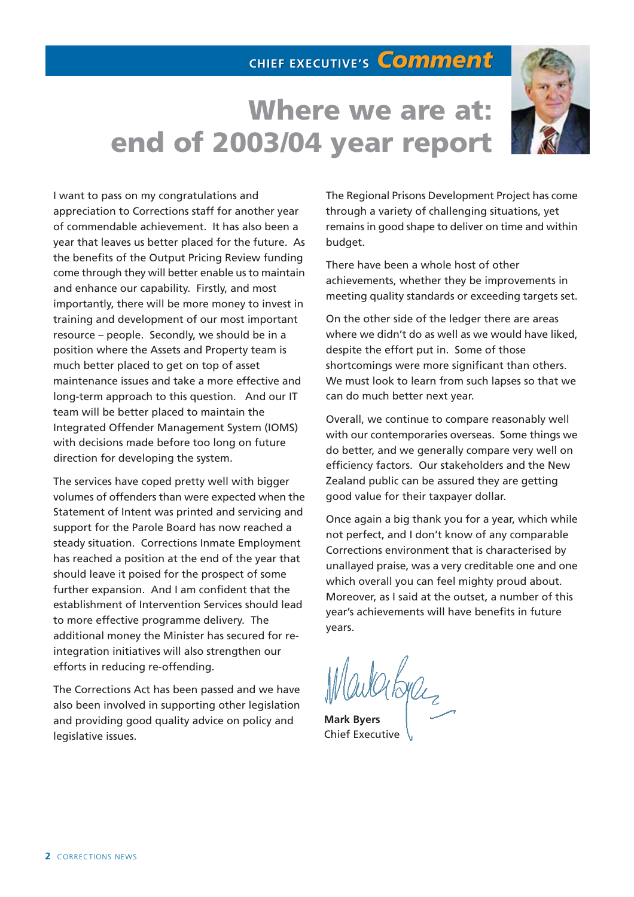### **CHIEF EXECUTIVE'S CHIEF EXECUTIVE'S** *Comment Comment*

## **Where we are at: end of 2003/04 year report**



I want to pass on my congratulations and appreciation to Corrections staff for another year of commendable achievement. It has also been a year that leaves us better placed for the future. As the benefits of the Output Pricing Review funding come through they will better enable us to maintain and enhance our capability. Firstly, and most importantly, there will be more money to invest in training and development of our most important resource – people. Secondly, we should be in a position where the Assets and Property team is much better placed to get on top of asset maintenance issues and take a more effective and long-term approach to this question. And our IT team will be better placed to maintain the Integrated Offender Management System (IOMS) with decisions made before too long on future direction for developing the system.

The services have coped pretty well with bigger volumes of offenders than were expected when the Statement of Intent was printed and servicing and support for the Parole Board has now reached a steady situation. Corrections Inmate Employment has reached a position at the end of the year that should leave it poised for the prospect of some further expansion. And I am confident that the establishment of Intervention Services should lead to more effective programme delivery. The additional money the Minister has secured for reintegration initiatives will also strengthen our efforts in reducing re-offending.

The Corrections Act has been passed and we have also been involved in supporting other legislation and providing good quality advice on policy and legislative issues.

The Regional Prisons Development Project has come through a variety of challenging situations, yet remains in good shape to deliver on time and within budget.

There have been a whole host of other achievements, whether they be improvements in meeting quality standards or exceeding targets set.

On the other side of the ledger there are areas where we didn't do as well as we would have liked, despite the effort put in. Some of those shortcomings were more significant than others. We must look to learn from such lapses so that we can do much better next year.

Overall, we continue to compare reasonably well with our contemporaries overseas. Some things we do better, and we generally compare very well on efficiency factors. Our stakeholders and the New Zealand public can be assured they are getting good value for their taxpayer dollar.

Once again a big thank you for a year, which while not perfect, and I don't know of any comparable Corrections environment that is characterised by unallayed praise, was a very creditable one and one which overall you can feel mighty proud about. Moreover, as I said at the outset, a number of this year's achievements will have benefits in future years.

Wopler

**Mark Byers** Chief Executive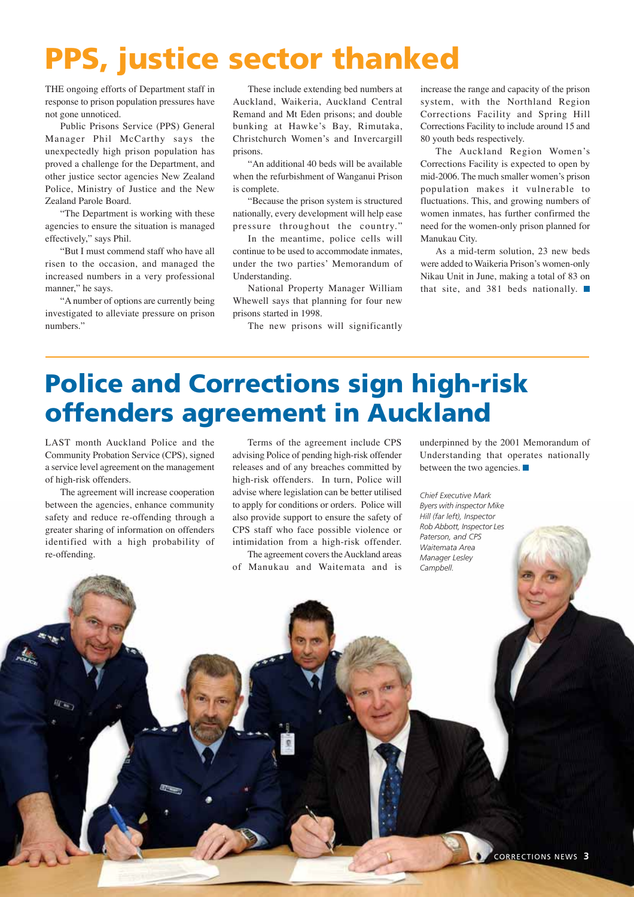## **PPS, justice sector thanked**

THE ongoing efforts of Department staff in response to prison population pressures have not gone unnoticed.

Public Prisons Service (PPS) General Manager Phil McCarthy says the unexpectedly high prison population has proved a challenge for the Department, and other justice sector agencies New Zealand Police, Ministry of Justice and the New Zealand Parole Board.

"The Department is working with these agencies to ensure the situation is managed effectively," says Phil.

"But I must commend staff who have all risen to the occasion, and managed the increased numbers in a very professional manner," he says.

"A number of options are currently being investigated to alleviate pressure on prison numbers."

These include extending bed numbers at Auckland, Waikeria, Auckland Central Remand and Mt Eden prisons; and double bunking at Hawke's Bay, Rimutaka, Christchurch Women's and Invercargill prisons.

"An additional 40 beds will be available when the refurbishment of Wanganui Prison is complete.

"Because the prison system is structured nationally, every development will help ease pressure throughout the country."

In the meantime, police cells will continue to be used to accommodate inmates, under the two parties' Memorandum of Understanding.

National Property Manager William Whewell says that planning for four new prisons started in 1998.

The new prisons will significantly

increase the range and capacity of the prison system, with the Northland Region Corrections Facility and Spring Hill Corrections Facility to include around 15 and 80 youth beds respectively.

The Auckland Region Women's Corrections Facility is expected to open by mid-2006. The much smaller women's prison population makes it vulnerable to fluctuations. This, and growing numbers of women inmates, has further confirmed the need for the women-only prison planned for Manukau City.

As a mid-term solution, 23 new beds were added to Waikeria Prison's women-only Nikau Unit in June, making a total of 83 on that site, and 381 beds nationally.

## **Police and Corrections sign high-risk offenders agreement in Auckland**

LAST month Auckland Police and the Community Probation Service (CPS), signed a service level agreement on the management of high-risk offenders.

The agreement will increase cooperation between the agencies, enhance community safety and reduce re-offending through a greater sharing of information on offenders identified with a high probability of re-offending.

Terms of the agreement include CPS advising Police of pending high-risk offender releases and of any breaches committed by high-risk offenders. In turn, Police will advise where legislation can be better utilised to apply for conditions or orders. Police will also provide support to ensure the safety of CPS staff who face possible violence or intimidation from a high-risk offender.

The agreement covers the Auckland areas of Manukau and Waitemata and is

underpinned by the 2001 Memorandum of Understanding that operates nationally between the two agencies.

*Chief Executive Mark Byers with inspector Mike Hill (far left), Inspector Rob Abbott, Inspector Les Paterson, and CPS Waitemata Area Manager Lesley Campbell.*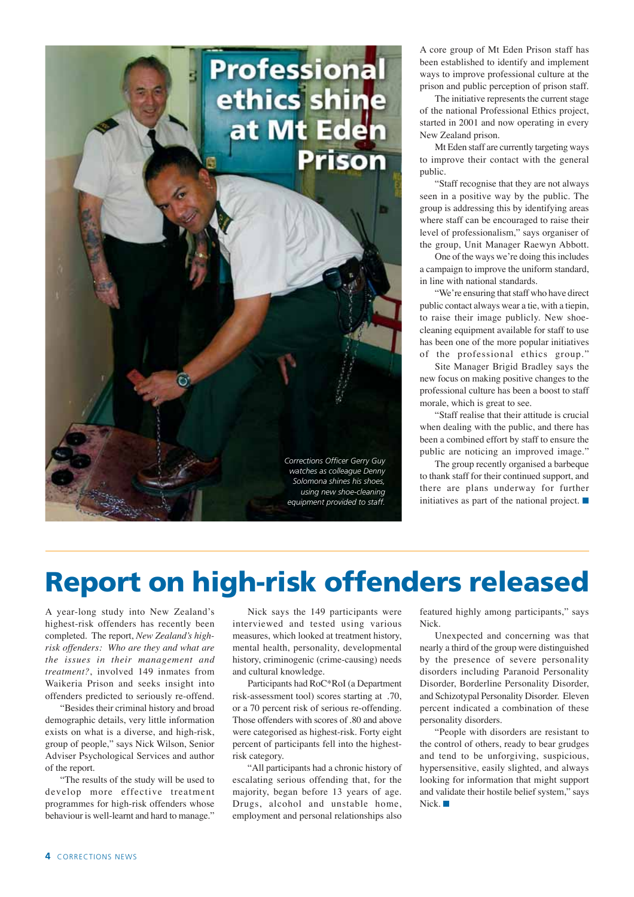

A core group of Mt Eden Prison staff has been established to identify and implement ways to improve professional culture at the prison and public perception of prison staff.

The initiative represents the current stage of the national Professional Ethics project, started in 2001 and now operating in every New Zealand prison.

Mt Eden staff are currently targeting ways to improve their contact with the general public.

"Staff recognise that they are not always seen in a positive way by the public. The group is addressing this by identifying areas where staff can be encouraged to raise their level of professionalism," says organiser of the group, Unit Manager Raewyn Abbott.

One of the ways we're doing this includes a campaign to improve the uniform standard, in line with national standards.

"We're ensuring that staff who have direct public contact always wear a tie, with a tiepin, to raise their image publicly. New shoecleaning equipment available for staff to use has been one of the more popular initiatives of the professional ethics group."

Site Manager Brigid Bradley says the new focus on making positive changes to the professional culture has been a boost to staff morale, which is great to see.

"Staff realise that their attitude is crucial when dealing with the public, and there has been a combined effort by staff to ensure the public are noticing an improved image."

The group recently organised a barbeque to thank staff for their continued support, and there are plans underway for further initiatives as part of the national project.  $\Box$ 

## **Report on high-risk offenders released**

A year-long study into New Zealand's highest-risk offenders has recently been completed. The report, *New Zealand's highrisk offenders: Who are they and what are the issues in their management and treatment?*, involved 149 inmates from Waikeria Prison and seeks insight into offenders predicted to seriously re-offend.

"Besides their criminal history and broad demographic details, very little information exists on what is a diverse, and high-risk, group of people," says Nick Wilson, Senior Adviser Psychological Services and author of the report.

"The results of the study will be used to develop more effective treatment programmes for high-risk offenders whose behaviour is well-learnt and hard to manage."

Nick says the 149 participants were interviewed and tested using various measures, which looked at treatment history, mental health, personality, developmental history, criminogenic (crime-causing) needs and cultural knowledge.

Participants had RoC\*RoI (a Department risk-assessment tool) scores starting at .70, or a 70 percent risk of serious re-offending. Those offenders with scores of .80 and above were categorised as highest-risk. Forty eight percent of participants fell into the highestrisk category.

"All participants had a chronic history of escalating serious offending that, for the majority, began before 13 years of age. Drugs, alcohol and unstable home, employment and personal relationships also featured highly among participants," says Nick.

Unexpected and concerning was that nearly a third of the group were distinguished by the presence of severe personality disorders including Paranoid Personality Disorder, Borderline Personality Disorder, and Schizotypal Personality Disorder. Eleven percent indicated a combination of these personality disorders.

"People with disorders are resistant to the control of others, ready to bear grudges and tend to be unforgiving, suspicious, hypersensitive, easily slighted, and always looking for information that might support and validate their hostile belief system," says Nick.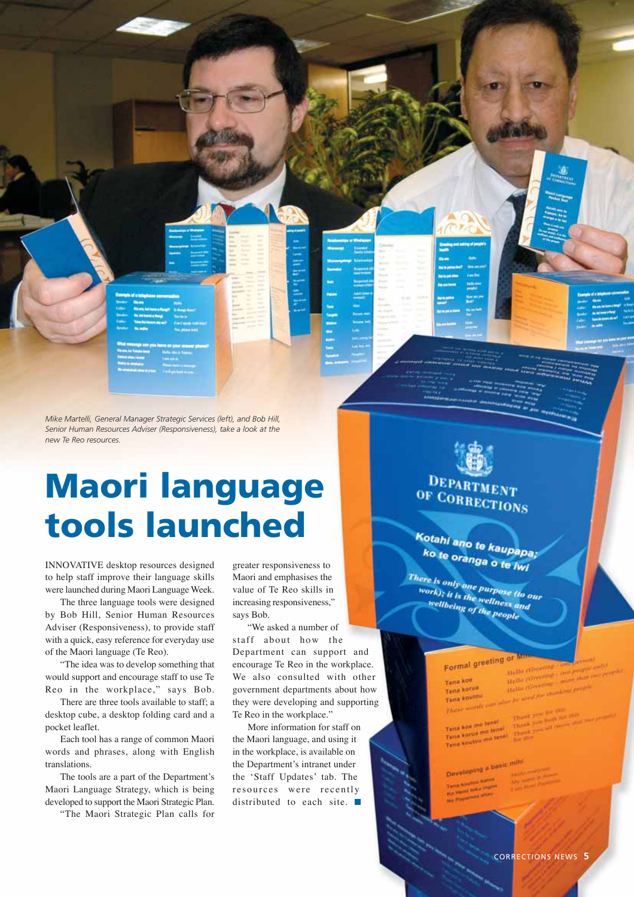|                          | <b>Exemple of a telephone on</b>             |                             |
|--------------------------|----------------------------------------------|-----------------------------|
|                          |                                              |                             |
| <b>Contract Contract</b> | <b>No me, but tonn a flanger</b>             |                             |
|                          | <b><i><b>M. Mil Same</b></i> &amp; Range</b> |                             |
|                          |                                              | <b>Most Cattung cattles</b> |
|                          |                                              |                             |

*Mike Martelli, General Manager Strategic Services (left), and Bob Hill, Senior Human Resources Adviser (Responsiveness), take a look at the new Te Reo resources.*

## **Maori language tools launched**

INNOVATIVE desktop resources designed to help staff improve their language skills were launched during Maori Language Week.

The three language tools were designed by Bob Hill, Senior Human Resources Adviser (Responsiveness), to provide staff with a quick, easy reference for everyday use of the Maori language (Te Reo).

"The idea was to develop something that would support and encourage staff to use Te Reo in the workplace," says Bob.

There are three tools available to staff; a desktop cube, a desktop folding card and a pocket leaflet.

Each tool has a range of common Maori words and phrases, along with English translations.

The tools are a part of the Department's Maori Language Strategy, which is being developed to support the Maori Strategic Plan.

"The Maori Strategic Plan calls for

greater responsiveness to Maori and emphasises the value of Te Reo skills in increasing responsiveness," says Bob.

"We asked a number of staff about how the Department can support and encourage Te Reo in the workplace. We also consulted with other government departments about how they were developing and supporting Te Reo in the workplace."

More information for staff on the Maori language, and using it in the workplace, is available on the Department's intranet under the 'Staff Updates' tab. The resources were recently distributed to each site.

**DEPART** OF CORRECTIONS

Kotahi ano te kaupapa;<br>ko te oranoa ko te oranga o te iwi

There is only one purpose (to our<br>work); it is the wellness and<br>wellbett work); it is the purpose (to a<br>work); it is the wellness and<br>wellbeing of the pa wellbeing of the people

### Formal greeting or

Tena koe Tena korus Tena koutou places wonds

Hello Correlling Hello *(Greenist*) Hema Gassanon

Tenit koe mo tunel Tena koe mo tune<br>Tena kotus mo tenal<br>Tena koutuu mo tena

Developing a basic m

CORRECTIONS NEWS **5**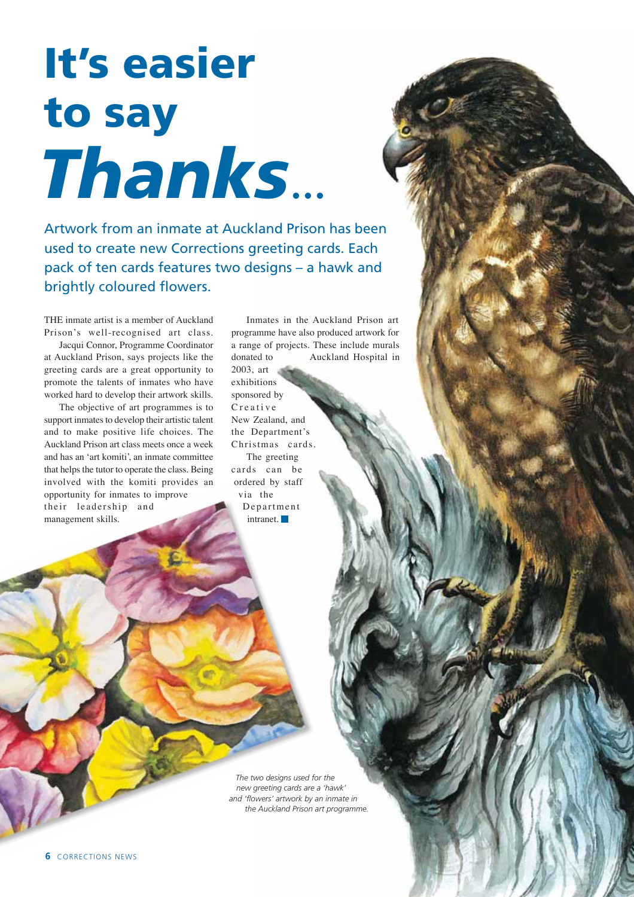*Thanks*... **It's easier to say**

Artwork from an inmate at Auckland Prison has been used to create new Corrections greeting cards. Each pack of ten cards features two designs – a hawk and brightly coloured flowers.

THE inmate artist is a member of Auckland Prison's well-recognised art class.

Jacqui Connor, Programme Coordinator at Auckland Prison, says projects like the greeting cards are a great opportunity to promote the talents of inmates who have worked hard to develop their artwork skills.

The objective of art programmes is to support inmates to develop their artistic talent and to make positive life choices. The Auckland Prison art class meets once a week and has an 'art komiti', an inmate committee that helps the tutor to operate the class. Being involved with the komiti provides an opportunity for inmates to improve their leadership and management skills.

Inmates in the Auckland Prison art programme have also produced artwork for a range of projects. These include murals donated to Auckland Hospital in

2003, art exhibitions sponsored by Creative New Zealand, and the Department's Christmas cards. The greeting cards can be ordered by staff via the Department intranet.

*The two designs used for the new greeting cards are a 'hawk' and 'flowers' artwork by an inmate in the Auckland Prison art programme.*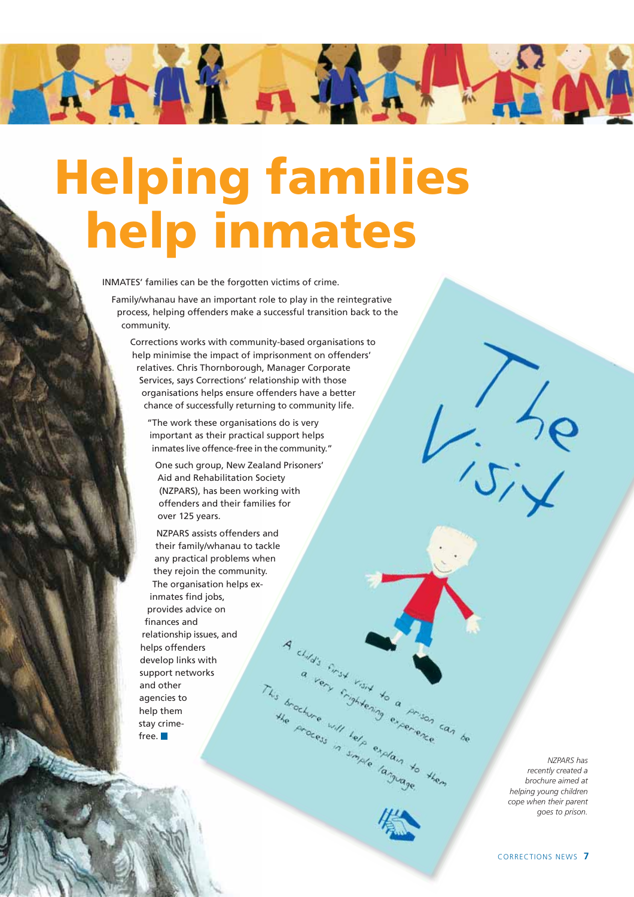## **Helping families help inmates**

INMATES' families can be the forgotten victims of crime.

TANY - M

Family/whanau have an important role to play in the reintegrative process, helping offenders make a successful transition back to the community.

 Corrections works with community-based organisations to help minimise the impact of imprisonment on offenders' relatives. Chris Thornborough, Manager Corporate Services, says Corrections' relationship with those organisations helps ensure offenders have a better chance of successfully returning to community life.

"The work these organisations do is very important as their practical support helps inmates live offence-free in the community."

One such group, New Zealand Prisoners' Aid and Rehabilitation Society (NZPARS), has been working with offenders and their families for over 125 years.

A child's first risit to a prison can be

the chure will help explain to

NZPARS assists offenders and their family/whanau to tackle any practical problems when they rejoin the community. The organisation helps exinmates find jobs, provides advice on finances and relationship issues, and helps offenders develop links with This time will help experience and then to them support networks and other agencies to help them stay crimefree.

*NZPARS has recently created a brochure aimed at helping young children cope when their parent goes to prison.*

 $\frac{1}{15}$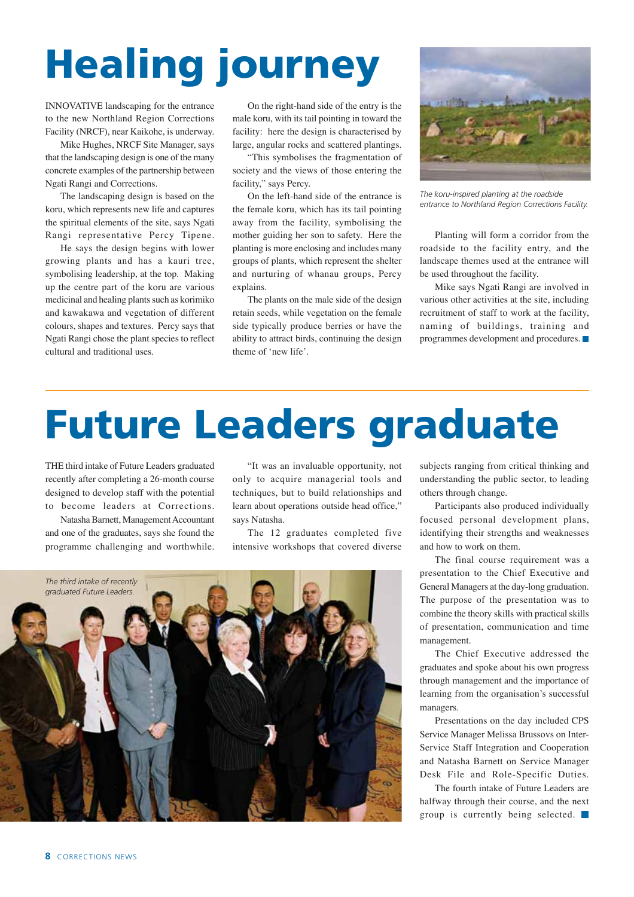## **Healing journey**

INNOVATIVE landscaping for the entrance to the new Northland Region Corrections Facility (NRCF), near Kaikohe, is underway.

Mike Hughes, NRCF Site Manager, says that the landscaping design is one of the many concrete examples of the partnership between Ngati Rangi and Corrections.

The landscaping design is based on the koru, which represents new life and captures the spiritual elements of the site, says Ngati Rangi representative Percy Tipene.

He says the design begins with lower growing plants and has a kauri tree, symbolising leadership, at the top. Making up the centre part of the koru are various medicinal and healing plants such as korimiko and kawakawa and vegetation of different colours, shapes and textures. Percy says that Ngati Rangi chose the plant species to reflect cultural and traditional uses.

On the right-hand side of the entry is the male koru, with its tail pointing in toward the facility: here the design is characterised by large, angular rocks and scattered plantings.

"This symbolises the fragmentation of society and the views of those entering the facility," says Percy.

On the left-hand side of the entrance is the female koru, which has its tail pointing away from the facility, symbolising the mother guiding her son to safety. Here the planting is more enclosing and includes many groups of plants, which represent the shelter and nurturing of whanau groups, Percy explains.

The plants on the male side of the design retain seeds, while vegetation on the female side typically produce berries or have the ability to attract birds, continuing the design theme of 'new life'.



*The koru-inspired planting at the roadside entrance to Northland Region Corrections Facility.*

Planting will form a corridor from the roadside to the facility entry, and the landscape themes used at the entrance will be used throughout the facility.

Mike says Ngati Rangi are involved in various other activities at the site, including recruitment of staff to work at the facility, naming of buildings, training and programmes development and procedures.

## **Future Leaders graduate**

THE third intake of Future Leaders graduated recently after completing a 26-month course designed to develop staff with the potential to become leaders at Corrections.

Natasha Barnett, Management Accountant and one of the graduates, says she found the programme challenging and worthwhile.

"It was an invaluable opportunity, not only to acquire managerial tools and techniques, but to build relationships and learn about operations outside head office," says Natasha.

The 12 graduates completed five intensive workshops that covered diverse



subjects ranging from critical thinking and understanding the public sector, to leading others through change.

Participants also produced individually focused personal development plans, identifying their strengths and weaknesses and how to work on them.

The final course requirement was a presentation to the Chief Executive and General Managers at the day-long graduation. The purpose of the presentation was to combine the theory skills with practical skills of presentation, communication and time management.

The Chief Executive addressed the graduates and spoke about his own progress through management and the importance of learning from the organisation's successful managers.

Presentations on the day included CPS Service Manager Melissa Brussovs on Inter-Service Staff Integration and Cooperation and Natasha Barnett on Service Manager Desk File and Role-Specific Duties.

The fourth intake of Future Leaders are halfway through their course, and the next group is currently being selected.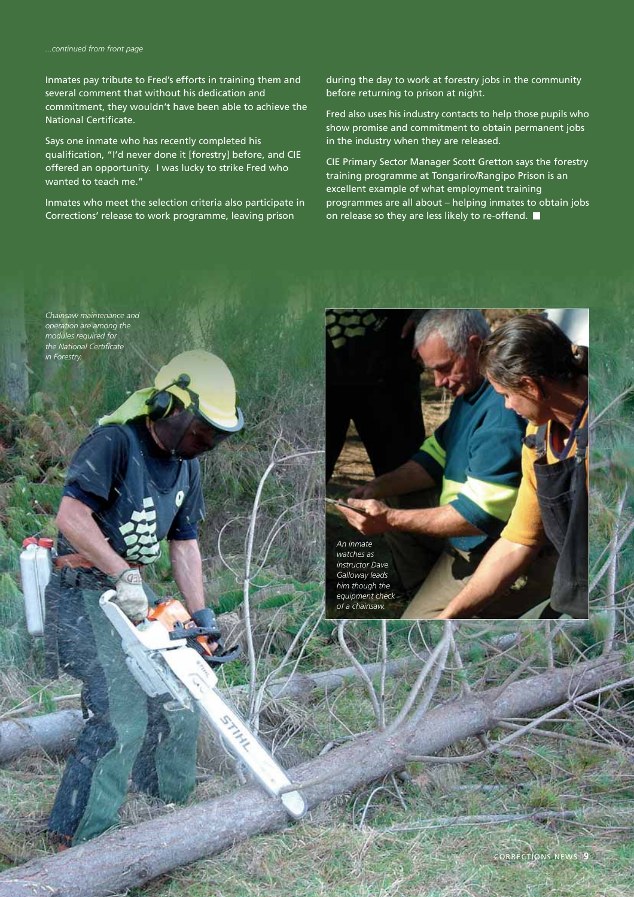Inmates pay tribute to Fred's efforts in training them and several comment that without his dedication and commitment, they wouldn't have been able to achieve the National Certificate.

Says one inmate who has recently completed his qualification, "I'd never done it [forestry] before, and CIE offered an opportunity. I was lucky to strike Fred who wanted to teach me."

Inmates who meet the selection criteria also participate in Corrections' release to work programme, leaving prison

during the day to work at forestry jobs in the community before returning to prison at night.

Fred also uses his industry contacts to help those pupils who show promise and commitment to obtain permanent jobs in the industry when they are released.

CIE Primary Sector Manager Scott Gretton says the forestry training programme at Tongariro/Rangipo Prison is an excellent example of what employment training programmes are all about – helping inmates to obtain jobs on release so they are less likely to re-offend.

*Chainsaw maintenance and operation are among the modules required for the National Certificate in Forestry.*

> *An inmate watches as instructor Dave Galloway leads him though the equipment check of a chainsaw.*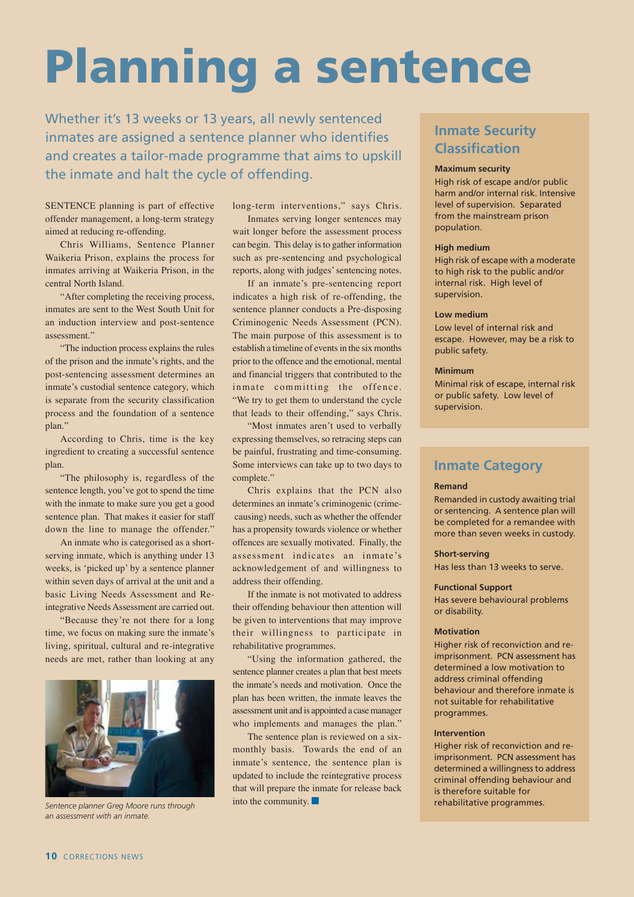## **Planning a sentence**

Whether it's 13 weeks or 13 years, all newly sentenced inmates are assigned a sentence planner who identifies and creates a tailor-made programme that aims to upskill the inmate and halt the cycle of offending.

SENTENCE planning is part of effective offender management, a long-term strategy aimed at reducing re-offending.

Chris Williams, Sentence Planner Waikeria Prison, explains the process for inmates arriving at Waikeria Prison, in the central North Island.

"After completing the receiving process, inmates are sent to the West South Unit for an induction interview and post-sentence assessment."

"The induction process explains the rules of the prison and the inmate's rights, and the post-sentencing assessment determines an inmate's custodial sentence category, which is separate from the security classification process and the foundation of a sentence plan."

According to Chris, time is the key ingredient to creating a successful sentence plan.

"The philosophy is, regardless of the sentence length, you've got to spend the time with the inmate to make sure you get a good sentence plan. That makes it easier for staff down the line to manage the offender."

An inmate who is categorised as a shortserving inmate, which is anything under 13 weeks, is 'picked up' by a sentence planner within seven days of arrival at the unit and a basic Living Needs Assessment and Reintegrative Needs Assessment are carried out.

"Because they're not there for a long time, we focus on making sure the inmate's living, spiritual, cultural and re-integrative needs are met, rather than looking at any



*Sentence planner Greg Moore runs through an assessment with an inmate.*

long-term interventions," says Chris.

Inmates serving longer sentences may wait longer before the assessment process can begin. This delay is to gather information such as pre-sentencing and psychological reports, along with judges' sentencing notes.

If an inmate's pre-sentencing report indicates a high risk of re-offending, the sentence planner conducts a Pre-disposing Criminogenic Needs Assessment (PCN). The main purpose of this assessment is to establish a timeline of events in the six months prior to the offence and the emotional, mental and financial triggers that contributed to the inmate committing the offence. "We try to get them to understand the cycle that leads to their offending," says Chris.

"Most inmates aren't used to verbally expressing themselves, so retracing steps can be painful, frustrating and time-consuming. Some interviews can take up to two days to complete."

Chris explains that the PCN also determines an inmate's criminogenic (crime causing) needs, such as whether the offender has a propensity towards violence or whether offences are sexually motivated. Finally, the assessment indicates an inmate's acknowledgement of and willingness to address their offending.

If the inmate is not motivated to address their offending behaviour then attention will be given to interventions that may improve their willingness to participate in rehabilitative programmes.

"Using the information gathered, the sentence planner creates a plan that best meets the inmate's needs and motivation. Once the plan has been written, the inmate leaves the assessment unit and is appointed a case manager who implements and manages the plan."

The sentence plan is reviewed on a sixmonthly basis. Towards the end of an inmate's sentence, the sentence plan is updated to include the reintegrative process that will prepare the inmate for release back into the community.

#### **Inmate Security Classification**

#### **Maximum security**

High risk of escape and/or public harm and/or internal risk. Intensive level of supervision. Separated from the mainstream prison population.

#### **High medium**

High risk of escape with a moderate to high risk to the public and/or internal risk. High level of supervision.

#### **Low medium**

Low level of internal risk and escape. However, may be a risk to public safety.

#### **Minimum**

Minimal risk of escape, internal risk or public safety. Low level of supervision.

#### **Inmate Category**

#### **Remand**

Remanded in custody awaiting trial or sentencing. A sentence plan will be completed for a remandee with more than seven weeks in custody.

#### **Short-serving**

Has less than 13 weeks to serve.

#### **Functional Support**

Has severe behavioural problems or disability.

#### **Motivation**

Higher risk of reconviction and reimprisonment. PCN assessment has determined a low motivation to address criminal offending behaviour and therefore inmate is not suitable for rehabilitative programmes.

#### **Intervention**

Higher risk of reconviction and reimprisonment. PCN assessment has determined a willingness to address criminal offending behaviour and is therefore suitable for rehabilitative programmes.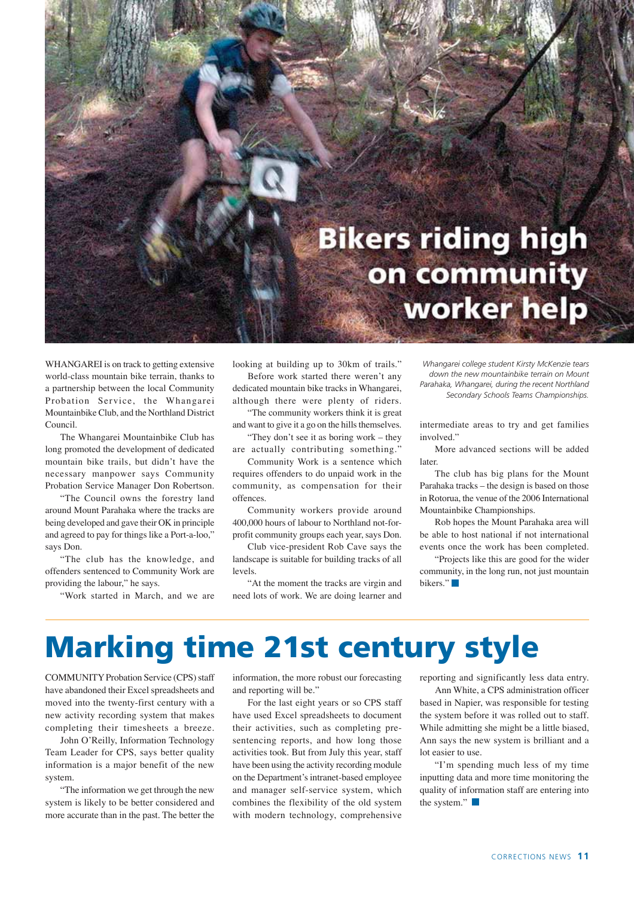## **Bikers riding high** on community worker help

WHANGAREI is on track to getting extensive world-class mountain bike terrain, thanks to a partnership between the local Community Probation Service, the Whangarei Mountainbike Club, and the Northland District Council.

The Whangarei Mountainbike Club has long promoted the development of dedicated mountain bike trails, but didn't have the necessary manpower says Community Probation Service Manager Don Robertson.

"The Council owns the forestry land around Mount Parahaka where the tracks are being developed and gave their OK in principle and agreed to pay for things like a Port-a-loo," says Don.

"The club has the knowledge, and offenders sentenced to Community Work are providing the labour," he says.

"Work started in March, and we are

looking at building up to 30km of trails." Before work started there weren't any

dedicated mountain bike tracks in Whangarei, although there were plenty of riders.

"The community workers think it is great and want to give it a go on the hills themselves. "They don't see it as boring work – they

are actually contributing something." Community Work is a sentence which

requires offenders to do unpaid work in the community, as compensation for their offences.

Community workers provide around 400,000 hours of labour to Northland not-forprofit community groups each year, says Don.

Club vice-president Rob Cave says the landscape is suitable for building tracks of all levels.

"At the moment the tracks are virgin and need lots of work. We are doing learner and

*Whangarei college student Kirsty McKenzie tears down the new mountainbike terrain on Mount Parahaka, Whangarei, during the recent Northland Secondary Schools Teams Championships.*

intermediate areas to try and get families involved."

More advanced sections will be added later.

The club has big plans for the Mount Parahaka tracks – the design is based on those in Rotorua, the venue of the 2006 International Mountainbike Championships.

Rob hopes the Mount Parahaka area will be able to host national if not international events once the work has been completed.

"Projects like this are good for the wider community, in the long run, not just mountain bikers."

## **Marking time 21st century style**

COMMUNITY Probation Service (CPS) staff have abandoned their Excel spreadsheets and moved into the twenty-first century with a new activity recording system that makes completing their timesheets a breeze.

John O'Reilly, Information Technology Team Leader for CPS, says better quality information is a major benefit of the new system.

"The information we get through the new system is likely to be better considered and more accurate than in the past. The better the

information, the more robust our forecasting and reporting will be."

For the last eight years or so CPS staff have used Excel spreadsheets to document their activities, such as completing presentencing reports, and how long those activities took. But from July this year, staff have been using the activity recording module on the Department's intranet-based employee and manager self-service system, which combines the flexibility of the old system with modern technology, comprehensive

reporting and significantly less data entry.

Ann White, a CPS administration officer based in Napier, was responsible for testing the system before it was rolled out to staff. While admitting she might be a little biased, Ann says the new system is brilliant and a lot easier to use.

"I'm spending much less of my time inputting data and more time monitoring the quality of information staff are entering into the system."